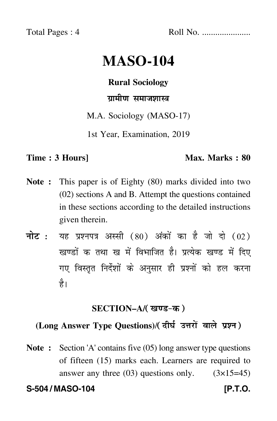Total Pages : 4 Roll No. ......................

# **MASO-104**

# **Rural Sociology**

# ग्रामीण समाजशास्त्र

M.A. Sociology (MASO-17)

1st Year, Examination, 2019

## **Time : 3 Hours]** Max. Marks : 80

- **Note :** This paper is of Eighty (80) marks divided into two (02) sections A and B. Attempt the questions contained in these sections according to the detailed instructions given therein.
- नोट : यह प्रश्नपत्र अस्सी (80) अंकों का है जो दो (02) खण्डों क तथा ख में विभाजित है। प्रत्येक खण्ड में दिए गए विस्तृत निर्देशों के अनुसार ही प्रश्नों को हल करन<mark>ा</mark> है।

## **SECTION–A/**

# (Long Answer Type Questions)/( दीर्घ उत्तरों वाले प्रश्न )

**Note :** Section 'A' contains five (05) long answer type questions of fifteen (15) marks each. Learners are required to answer any three  $(03)$  questions only.  $(3\times15=45)$ 

**S-504 / MASO-104 [P.T.O.**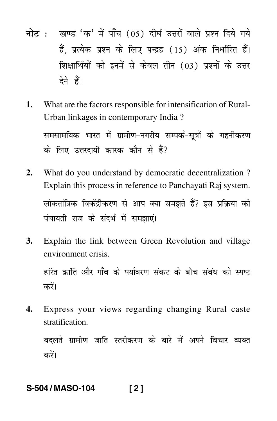- <mark>नोट</mark> : खण्ड 'क' में पाँच (05) दीर्घ उत्तरों वाले प्रश्न दिये गये हैं, प्रत्येक प्रश्न के लिए पन्द्रह (15) अंक निर्धारित हैं। शिक्षार्थियों को इनमें से केवल तीन (03) प्रश्नों के उत्तर देने हैं।
- **1.** What are the factors responsible for intensification of Rural-Urban linkages in contemporary India ? समसामयिक भारत में ग्रामीण–नगरीय सम्पर्क–सूत्रों के गहनीकरण के लिए उत्तरदायी कारक कौन से हैं?
- **2.** What do you understand by democratic decentralization ? Explain this process in reference to Panchayati Raj system. लोकतांत्रिक विकेंद्रीकरण से आप क्या समझते हैं? इस प्रक्रिया को पंचायती राज के संदर्भ में समझाएं।
- **3.** Explain the link between Green Revolution and village environment crisis.

हरित क्रांति और गाँव के पर्यावरण संकट के बीच संबंध को स्पष्ट करें।

**4.** Express your views regarding changing Rural caste stratification.

बदलते ग्रामीण जाति स्तरीकरण के बारे में अपने विचार व्यक्त करें।

# **S-504 / MASO-104 [ 2 ]**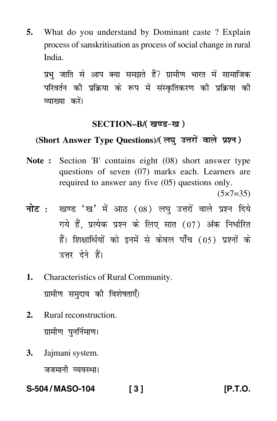**5.** What do you understand by Dominant caste ? Explain process of sanskritisation as process of social change in rural India.

प्रभु जाति से आप क्या समझते हैं? ग्रामीण भारत में सामाजिक परिवर्तन की प्रक्रिया के रूप में संस्कृतिकरण की प्रक्रिया की व्याख्या करें।

### **SECTION–B/**

# (Short Answer Type Questions)/( लघु उत्तरों वाले प्रश्न )

**Note :** Section 'B' contains eight (08) short answer type questions of seven (07) marks each. Learners are required to answer any five (05) questions only.  $(5 \times 7 = 35)$ 

<mark>नोट</mark> : खण्ड 'ख' में आठ (08) लघु उत्तरों वाले प्रश्न दिये गये हैं, प्रत्येक प्रश्न के लिए सात (07) अंक निर्धारित हैं। शिक्षार्थियों को इनमें से केवल पाँच (05) प्रश्नों के उत्तर देने हैं।

- **1.** Characteristics of Rural Community. ग्रामीण समुदाय की विशेषताएँ।
- **2.** Rural reconstruction. ग्रामीण पुनर्निमाण।
- **3.** Jajmani system. जजमानी व्यवस्था।

**S-504 / MASO-104 [ 3 ] [P.T.O.**